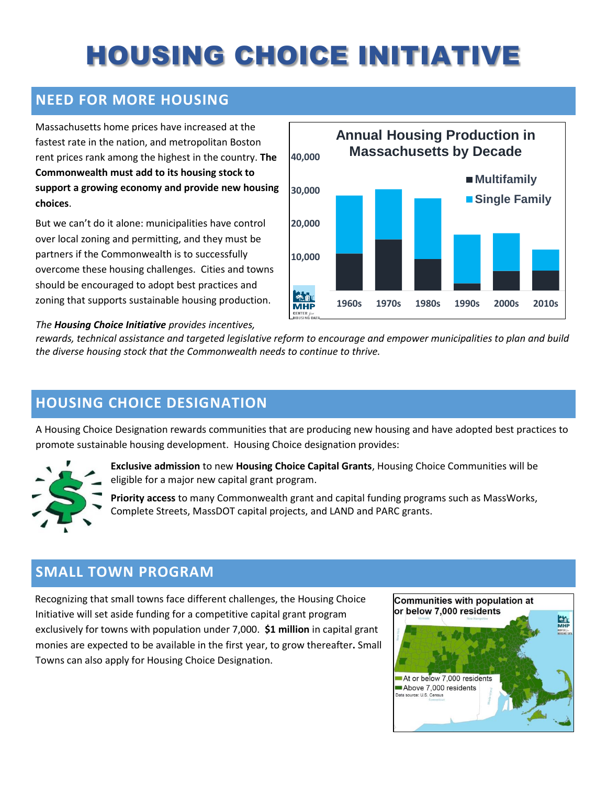# HOUSING CHOICE INITIATIVE

#### **NEED FOR MORE HOUSING**

Massachusetts home prices have increased at the fastest rate in the nation, and metropolitan Boston rent prices rank among the highest in the country. **The Commonwealth must add to its housing stock to support a growing economy and provide new housing choices**.

But we can't do it alone: municipalities have control over local zoning and permitting, and they must be partners if the Commonwealth is to successfully overcome these housing challenges.Cities and towns should be encouraged to adopt best practices and zoning that supports sustainable housing production.



#### *The Housing Choice Initiative provides incentives,*

*rewards, technical assistance and targeted legislative reform to encourage and empower municipalities to plan and build the diverse housing stock that the Commonwealth needs to continue to thrive.* 

#### **HOUSING CHOICE DESIGNATION**

A Housing Choice Designation rewards communities that are producing new housing and have adopted best practices to promote sustainable housing development. Housing Choice designation provides:



**Exclusive admission** to new **Housing Choice Capital Grants**, Housing Choice Communities will be eligible for a major new capital grant program.

**Priority access** to many Commonwealth grant and capital funding programs such as MassWorks, Complete Streets, MassDOT capital projects, and LAND and PARC grants.

### **SMALL TOWN PROGRAM**

Recognizing that small towns face different challenges, the Housing Choice Initiative will set aside funding for a competitive capital grant program exclusively for towns with population under 7,000. **\$1 million** in capital grant monies are expected to be available in the first year, to grow thereafter**.** Small Towns can also apply for Housing Choice Designation.